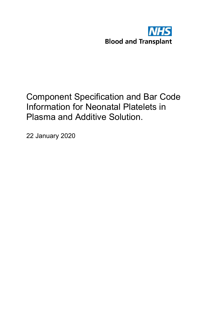

## Component Specification and Bar Code Information for Neonatal Platelets in Plasma and Additive Solution.

22 January 2020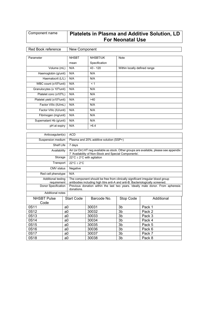## $\textsf{\small \textsf{Component name}} \quad | \textsf{\small \textsf{Platches}} \textsf{\small in} \textsf{\small \textsf{Plasma}} \textsf{\small and} \textsf{\small \textsf{Additive} } \textsf{\small \textsf{Solution}}, \textsf{\small \textsf{LD}}$ For Neonatal Use

## Red Book reference | New Component

| Parameter                               | <b>NHSBT</b> | NHSBT/UK      | Note                         |
|-----------------------------------------|--------------|---------------|------------------------------|
|                                         | mean         | Specification |                              |
| Volume (mL)                             | N/A          | $43 - 120$    | Within locally defined range |
| Haemoglobin (g/unit)                    | N/A          | N/A           |                              |
| Haematocrit (L/L)                       | N/A          | N/A           |                              |
| WBC count (x10 <sup>6</sup> /unit)      | N/A          | < 1           |                              |
| Granulocytes (x $10^9$ /unit)           | N/A          | N/A           |                              |
| Platelet conc (x10 <sup>9</sup> /L)     | N/A          | N/A           |                              |
| Platelet yield (x10 <sup>9</sup> /unit) | N/A          | >40           |                              |
| Factor VIIIc (IU/mL)                    | N/A          | N/A           |                              |
| Factor VIIIc (IU/unit)                  | N/A          | N/A           |                              |
| Fibrinogen (mg/unit)                    | N/A          | N/A           |                              |
| Supernatant Hb (g/unit)                 | N/A          | N/A           |                              |
| pH at expiry                            | N/A          | >6.4          |                              |

| Anticoagulant(s)                  | <b>ACD</b>                 |                                                                                                                                                                  |                |            |  |
|-----------------------------------|----------------------------|------------------------------------------------------------------------------------------------------------------------------------------------------------------|----------------|------------|--|
| Suspension medium                 |                            | Plasma and 20% additive solution (SSP+)                                                                                                                          |                |            |  |
| Shelf Life                        | 7 days                     |                                                                                                                                                                  |                |            |  |
| Availability                      |                            | Arr (or Orr) HT neg available as stock. Other groups are available, please see appendix<br>7 'Availability of Non-Stock and Special Components'.                 |                |            |  |
| Storage                           |                            | $22^{\circ}$ C ± 2°C with agitation                                                                                                                              |                |            |  |
| Transport                         | $22^{\circ}C + 2^{\circ}C$ |                                                                                                                                                                  |                |            |  |
| CMV status<br>Negative            |                            |                                                                                                                                                                  |                |            |  |
| Red cell phenotype                | N/A                        |                                                                                                                                                                  |                |            |  |
| Additional testing<br>requirement |                            | The component should be free from clinically significant irregular blood group<br>antibodies including high titre anti-A and anti-B. Bacteriologically screened. |                |            |  |
| Donor Specification               | donations.                 | Previous donation within the last two years. Ideally male donor. From apheresis                                                                                  |                |            |  |
| Additional notes                  |                            |                                                                                                                                                                  |                |            |  |
| <b>NHSBT Pulse</b>                | <b>Start Code</b>          | Barcode No.                                                                                                                                                      | Stop Code      | Additional |  |
| Code                              |                            |                                                                                                                                                                  |                |            |  |
| 0S11                              | a0                         | 30031                                                                                                                                                            | 3b             | Pack 1     |  |
| 0S12                              | a0                         | 30032                                                                                                                                                            | 3b             | Pack 2     |  |
| 0S13                              | a0                         | 30033                                                                                                                                                            | 3b             | Pack 3     |  |
| 0S14                              | a0                         | 30034                                                                                                                                                            | 3 <sub>b</sub> | Pack 4     |  |
| 0S15                              | a0                         | 30035                                                                                                                                                            | 3b             | Pack 5     |  |
| 0S16                              | a0                         | 30036                                                                                                                                                            | 3b             | Pack 6     |  |
| 0S17                              | a0                         | 30037                                                                                                                                                            | 3b             | Pack 7     |  |
| 0S18                              | a0                         |                                                                                                                                                                  | 3b             | Pack 8     |  |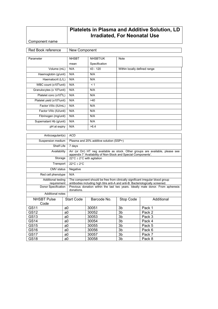## Platelets in Plasma and Additive Solution, LD Irradiated, For Neonatal Use

Component name

Red Book reference | New Component Parameter NHSBT mean NHSBT/UK Specification Note Volume (mL) N/A 43 - 120 Within locally defined range Haemoglobin (g/unit) N/A N/A Haematocrit (L/L) N/A N/A WBC count  $(x10^6$ /unit)  $\vert$  N/A  $\vert$  < 1 Granulocytes (x 10<sup>9</sup>/unit) N/A N/A Platelet conc (x10<sup>9</sup>/L)  $N/A$   $N/A$ Platelet yield  $(x10^9$ /unit)  $\vert$  N/A  $\vert$  >40 Factor VIIIc (IU/mL) N/A N/A Factor VIIIc (IU/unit) N/A N/A Fibrinogen (mg/unit) N/A N/A Supernatant Hb (g/unit) N/A N/A pH at expiry N/A >6.4

| Anticoagulant(s)                  | <b>ACD</b>                   |                                                                                                                                                                  |           |            |  |  |
|-----------------------------------|------------------------------|------------------------------------------------------------------------------------------------------------------------------------------------------------------|-----------|------------|--|--|
| Suspension medium                 |                              | Plasma and 20% additive solution (SSP+)                                                                                                                          |           |            |  |  |
| Shelf Life                        | 7 days                       |                                                                                                                                                                  |           |            |  |  |
| Availability                      |                              | Arr (or Orr) HT neg available as stock. Other groups are available, please see<br>appendix 7 'Availability of Non-Stock and Special Components'.                 |           |            |  |  |
| Storage                           |                              | $22^{\circ}$ C $\pm$ 2°C with agitation                                                                                                                          |           |            |  |  |
| Transport                         | $22^{\circ}C \pm 2^{\circ}C$ |                                                                                                                                                                  |           |            |  |  |
| CMV status<br>Negative            |                              |                                                                                                                                                                  |           |            |  |  |
| Red cell phenotype                | N/A                          |                                                                                                                                                                  |           |            |  |  |
| Additional testing<br>requirement |                              | The component should be free from clinically significant irregular blood group<br>antibodies including high titre anti-A and anti-B. Bacteriologically screened. |           |            |  |  |
| Donor Specification               | donations.                   | Previous donation within the last two years. Ideally male donor. From apheresis                                                                                  |           |            |  |  |
| <b>Additional notes</b>           |                              |                                                                                                                                                                  |           |            |  |  |
| <b>NHSBT Pulse</b>                | <b>Start Code</b>            | Barcode No.                                                                                                                                                      | Stop Code | Additional |  |  |
| Code                              |                              |                                                                                                                                                                  |           |            |  |  |
| GS11                              | a0                           | 30051                                                                                                                                                            | 3b        | Pack 1     |  |  |
| GS12                              | a0                           | 30052                                                                                                                                                            | 3b        | Pack 2     |  |  |
| GS13                              | a0                           |                                                                                                                                                                  | 3b        | Pack 3     |  |  |
| GS14                              | a0                           | 30054                                                                                                                                                            | 3b        | Pack 4     |  |  |
| GS15                              | a0                           | 30055                                                                                                                                                            | 3b        | Pack 5     |  |  |
| GS16                              | a0                           |                                                                                                                                                                  | 3b        | Pack 6     |  |  |
| GS17                              | a0                           | 30057                                                                                                                                                            | 3b        | Pack 7     |  |  |
| <b>GS18</b>                       | a <sub>0</sub>               | 30058                                                                                                                                                            | 3b        | Pack 8     |  |  |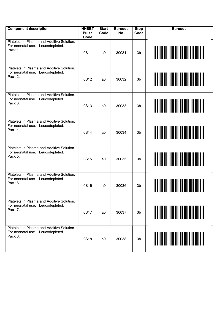| <b>Component description</b>                                                              | <b>NHSBT</b><br><b>Pulse</b><br>Code | <b>Start</b><br>Code | <b>Barcode</b><br>No. | <b>Stop</b><br>Code |  |
|-------------------------------------------------------------------------------------------|--------------------------------------|----------------------|-----------------------|---------------------|--|
| Platelets in Plasma and Additive Solution.<br>For neonatal use. Leucodepleted.<br>Pack 1. | 0S11                                 | a0                   | 30031                 | 3b                  |  |
| Platelets in Plasma and Additive Solution.<br>For neonatal use. Leucodepleted.<br>Pack 2. | 0S12                                 | a <sub>0</sub>       | 30032                 | 3b                  |  |
| Platelets in Plasma and Additive Solution.<br>For neonatal use. Leucodepleted.<br>Pack 3. | 0S13                                 | a <sub>0</sub>       | 30033                 | 3b                  |  |
| Platelets in Plasma and Additive Solution.<br>For neonatal use. Leucodepleted.<br>Pack 4. | 0S14                                 | a <sub>0</sub>       | 30034                 | 3b                  |  |
| Platelets in Plasma and Additive Solution.<br>For neonatal use. Leucodepleted.<br>Pack 5. | 0S15                                 | a <sub>0</sub>       | 30035                 | 3b                  |  |
| Platelets in Plasma and Additive Solution.<br>For neonatal use. Leucodepleted.<br>Pack 6. | 0S16                                 | a0                   | 30036                 | 3b                  |  |
| Platelets in Plasma and Additive Solution.<br>For neonatal use. Leucodepleted.<br>Pack 7. | 0S17                                 | a0                   | 30037                 | 3b                  |  |
| Platelets in Plasma and Additive Solution.<br>For neonatal use. Leucodepleted.<br>Pack 8. | 0S18                                 | a0                   | 30038                 | 3b                  |  |